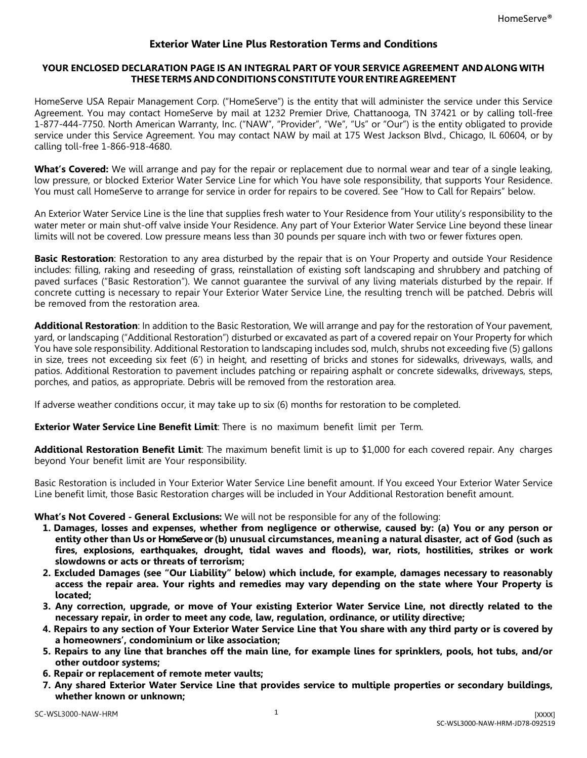## **Exterior Water Line Plus Restoration Terms and Conditions**

## **YOUR ENCLOSED DECLARATION PAGE IS AN INTEGRAL PART OF YOUR SERVICE AGREEMENT AND ALONG WITH THESE TERMS AND CONDITIONS CONSTITUTE YOUR ENTIRE AGREEMENT**

HomeServe USA Repair Management Corp. ("HomeServe") is the entity that will administer the service under this Service Agreement. You may contact HomeServe by mail at 1232 Premier Drive, Chattanooga, TN 37421 or by calling toll-free 1-877-444-7750. North American Warranty, Inc. ("NAW", "Provider", "We", "Us" or "Our") is the entity obligated to provide service under this Service Agreement. You may contact NAW by mail at 175 West Jackson Blvd., Chicago, IL 60604, or by calling toll-free 1-866-918-4680.

**What's Covered:** We will arrange and pay for the repair or replacement due to normal wear and tear of a single leaking, low pressure, or blocked Exterior Water Service Line for which You have sole responsibility, that supports Your Residence. You must call HomeServe to arrange for service in order for repairs to be covered. See "How to Call for Repairs" below.

An Exterior Water Service Line is the line that supplies fresh water to Your Residence from Your utility's responsibility to the water meter or main shut-off valve inside Your Residence. Any part of Your Exterior Water Service Line beyond these linear limits will not be covered. Low pressure means less than 30 pounds per square inch with two or fewer fixtures open.

**Basic Restoration**: Restoration to any area disturbed by the repair that is on Your Property and outside Your Residence includes: filling, raking and reseeding of grass, reinstallation of existing soft landscaping and shrubbery and patching of paved surfaces ("Basic Restoration"). We cannot guarantee the survival of any living materials disturbed by the repair. If concrete cutting is necessary to repair Your Exterior Water Service Line, the resulting trench will be patched. Debris will be removed from the restoration area.

**Additional Restoration**: In addition to the Basic Restoration, We will arrange and pay for the restoration of Your pavement, yard, or landscaping ("Additional Restoration") disturbed or excavated as part of a covered repair on Your Property for which You have sole responsibility. Additional Restoration to landscaping includes sod, mulch, shrubs not exceeding five (5) gallons in size, trees not exceeding six feet (6') in height, and resetting of bricks and stones for sidewalks, driveways, walls, and patios. Additional Restoration to pavement includes patching or repairing asphalt or concrete sidewalks, driveways, steps, porches, and patios, as appropriate. Debris will be removed from the restoration area.

If adverse weather conditions occur, it may take up to six (6) months for restoration to be completed.

**Exterior Water Service Line Benefit Limit**: There is no maximum benefit limit per Term.

**Additional Restoration Benefit Limit**: The maximum benefit limit is up to \$1,000 for each covered repair. Any charges beyond Your benefit limit are Your responsibility.

Basic Restoration is included in Your Exterior Water Service Line benefit amount. If You exceed Your Exterior Water Service Line benefit limit, those Basic Restoration charges will be included in Your Additional Restoration benefit amount.

**What's Not Covered - General Exclusions:** We will not be responsible for any of the following:

- **1. Damages, losses and expenses, whether from negligence or otherwise, caused by: (a) You or any person or entity other than Us or HomeServeor (b) unusual circumstances, meaning a natural disaster, act of God (such as fires, explosions, earthquakes, drought, tidal waves and floods), war, riots, hostilities, strikes or work slowdowns or acts or threats of terrorism;**
- **2. Excluded Damages (see "Our Liability" below) which include, for example, damages necessary to reasonably access the repair area. Your rights and remedies may vary depending on the state where Your Property is located;**
- **3. Any correction, upgrade, or move of Your existing Exterior Water Service Line, not directly related to the necessary repair, in order to meet any code, law, regulation, ordinance, or utility directive;**
- **4. Repairs to any section of Your Exterior Water Service Line that You share with any third party or is covered by a homeowners', condominium or like association;**
- **5. Repairs to any line that branches off the main line, for example lines for sprinklers, pools, hot tubs, and/or other outdoor systems;**
- **6. Repair or replacement of remote meter vaults;**
- **7. Any shared Exterior Water Service Line that provides service to multiple properties or secondary buildings, whether known or unknown;**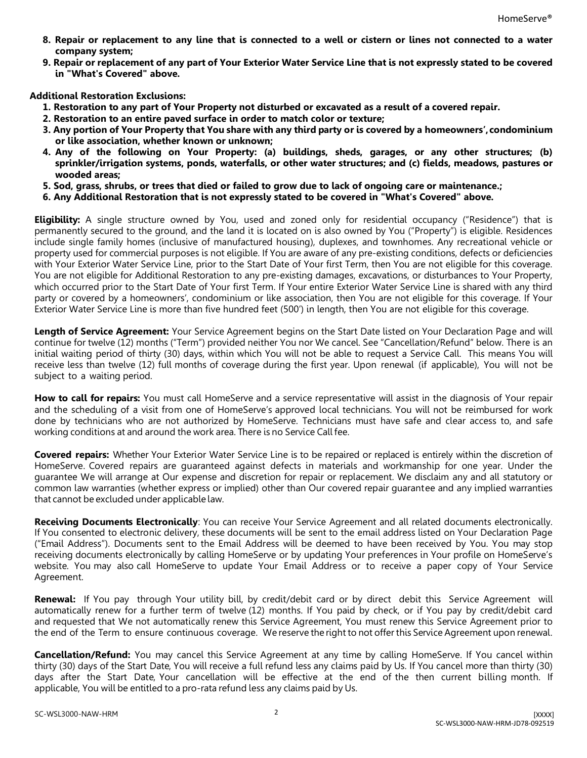- **8. Repair or replacement to any line that is connected to a well or cistern or lines not connected to a water company system;**
- **9. Repair or replacement of any part of Your Exterior Water Service Line that is not expressly stated to be covered in "What's Covered" above.**

**Additional Restoration Exclusions:**

- **1. Restoration to any part of Your Property not disturbed or excavated as a result of a covered repair.**
- **2. Restoration to an entire paved surface in order to match color or texture;**
- **3. Any portion of Your Property that You share with any third party or is covered by a homeowners', condominium or like association, whether known or unknown;**
- **4. Any of the following on Your Property: (a) buildings, sheds, garages, or any other structures; (b) sprinkler/irrigation systems, ponds, waterfalls, or other water structures; and (c) fields, meadows, pastures or wooded areas;**
- **5. Sod, grass, shrubs, or trees that died or failed to grow due to lack of ongoing care or maintenance.;**
- **6. Any Additional Restoration that is not expressly stated to be covered in "What's Covered" above.**

**Eligibility:** A single structure owned by You, used and zoned only for residential occupancy ("Residence") that is permanently secured to the ground, and the land it is located on is also owned by You ("Property") is eligible. Residences include single family homes (inclusive of manufactured housing), duplexes, and townhomes. Any recreational vehicle or property used for commercial purposes is not eligible. If You are aware of any pre-existing conditions, defects or deficiencies with Your Exterior Water Service Line, prior to the Start Date of Your first Term, then You are not eligible for this coverage. You are not eligible for Additional Restoration to any pre-existing damages, excavations, or disturbances to Your Property, which occurred prior to the Start Date of Your first Term. If Your entire Exterior Water Service Line is shared with any third party or covered by a homeowners', condominium or like association, then You are not eligible for this coverage. If Your Exterior Water Service Line is more than five hundred feet (500') in length, then You are not eligible for this coverage.

**Length of Service Agreement:** Your Service Agreement begins on the Start Date listed on Your Declaration Page and will continue for twelve (12) months ("Term") provided neither You nor We cancel. See "Cancellation/Refund" below. There is an initial waiting period of thirty (30) days, within which You will not be able to request a Service Call. This means You will receive less than twelve (12) full months of coverage during the first year. Upon renewal (if applicable), You will not be subject to a waiting period.

**How to call for repairs:** You must call HomeServe and a service representative will assist in the diagnosis of Your repair and the scheduling of a visit from one of HomeServe's approved local technicians. You will not be reimbursed for work done by technicians who are not authorized by HomeServe. Technicians must have safe and clear access to, and safe working conditions at and around the work area. There is no Service Call fee.

**Covered repairs:** Whether Your Exterior Water Service Line is to be repaired or replaced is entirely within the discretion of HomeServe. Covered repairs are guaranteed against defects in materials and workmanship for one year. Under the guarantee We will arrange at Our expense and discretion for repair or replacement. We disclaim any and all statutory or common law warranties (whether express or implied) other than Our covered repair guarantee and any implied warranties that cannot be excluded under applicable law.

**Receiving Documents Electronically**: You can receive Your Service Agreement and all related documents electronically. If You consented to electronic delivery, these documents will be sent to the email address listed on Your Declaration Page ("Email Address"). Documents sent to the Email Address will be deemed to have been received by You. You may stop receiving documents electronically by calling HomeServe or by updating Your preferences in Your profile on HomeServe's website. You may also call HomeServe to update Your Email Address or to receive a paper copy of Your Service Agreement.

**Renewal:** If You pay through Your utility bill, by credit/debit card or by direct debit this Service Agreement will automatically renew for a further term of twelve (12) months. If You paid by check, or if You pay by credit/debit card and requested that We not automatically renew this Service Agreement, You must renew this Service Agreement prior to the end of the Term to ensure continuous coverage. We reserve the right to not offer this Service Agreement upon renewal.

**Cancellation/Refund:** You may cancel this Service Agreement at any time by calling HomeServe. If You cancel within thirty (30) days of the Start Date, You will receive a full refund less any claims paid by Us. If You cancel more than thirty (30) days after the Start Date, Your cancellation will be effective at the end of the then current billing month. If applicable, You will be entitled to a pro-rata refund less any claims paid by Us.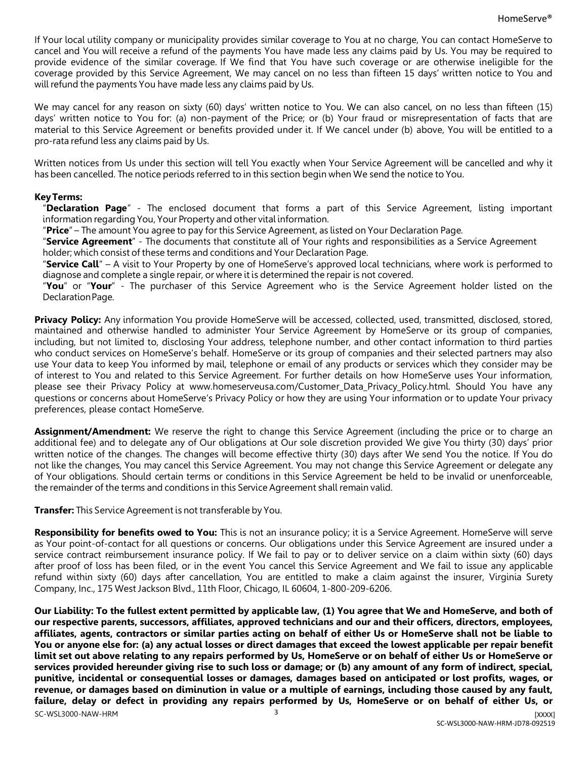If Your local utility company or municipality provides similar coverage to You at no charge, You can contact HomeServe to cancel and You will receive a refund of the payments You have made less any claims paid by Us. You may be required to provide evidence of the similar coverage. If We find that You have such coverage or are otherwise ineligible for the coverage provided by this Service Agreement, We may cancel on no less than fifteen 15 days' written notice to You and will refund the payments You have made less any claims paid by Us.

We may cancel for any reason on sixty (60) days' written notice to You. We can also cancel, on no less than fifteen (15) days' written notice to You for: (a) non-payment of the Price; or (b) Your fraud or misrepresentation of facts that are material to this Service Agreement or benefits provided under it. If We cancel under (b) above, You will be entitled to a pro-rata refund less any claims paid by Us.

Written notices from Us under this section will tell You exactly when Your Service Agreement will be cancelled and why it has been cancelled. The notice periods referred to in this section begin when We send the notice to You.

## **KeyTerms:**

"**Declaration Page**" - The enclosed document that forms a part of this Service Agreement, listing important information regarding You, Your Property and other vital information.

"**Price**" – The amount You agree to pay for this Service Agreement, as listed on Your Declaration Page.

"**Service Agreement**" - The documents that constitute all of Your rights and responsibilities as a Service Agreement holder; which consist of these terms and conditions and Your Declaration Page.

"**Service Call**" – A visit to Your Property by one of HomeServe's approved local technicians, where work is performed to diagnose and complete a single repair, or where it is determined the repair is not covered.

"**You**" or "**Your**" - The purchaser of this Service Agreement who is the Service Agreement holder listed on the Declaration Page.

**Privacy Policy:** Any information You provide HomeServe will be accessed, collected, used, transmitted, disclosed, stored, maintained and otherwise handled to administer Your Service Agreement by HomeServe or its group of companies, including, but not limited to, disclosing Your address, telephone number, and other contact information to third parties who conduct services on HomeServe's behalf. HomeServe or its group of companies and their selected partners may also use Your data to keep You informed by mail, telephone or email of any products or services which they consider may be of interest to You and related to this Service Agreement. For further details on how HomeServe uses Your information, please see their Privacy Policy at www.homeserveusa.com/Customer\_Data\_Privacy\_Policy.html. Should You have any questions or concerns about HomeServe's Privacy Policy or how they are using Your information or to update Your privacy preferences, please contact HomeServe.

**Assignment/Amendment:** We reserve the right to change this Service Agreement (including the price or to charge an additional fee) and to delegate any of Our obligations at Our sole discretion provided We give You thirty (30) days' prior written notice of the changes. The changes will become effective thirty (30) days after We send You the notice. If You do not like the changes, You may cancel this Service Agreement. You may not change this Service Agreement or delegate any of Your obligations. Should certain terms or conditions in this Service Agreement be held to be invalid or unenforceable, the remainder of the terms and conditions in this Service Agreement shall remain valid.

**Transfer:** This Service Agreement is not transferable by You.

**Responsibility for benefits owed to You:** This is not an insurance policy; it is a Service Agreement. HomeServe will serve as Your point-of-contact for all questions or concerns. Our obligations under this Service Agreement are insured under a service contract reimbursement insurance policy. If We fail to pay or to deliver service on a claim within sixty (60) days after proof of loss has been filed, or in the event You cancel this Service Agreement and We fail to issue any applicable refund within sixty (60) days after cancellation, You are entitled to make a claim against the insurer, Virginia Surety Company, Inc., 175 West Jackson Blvd., 11th Floor, Chicago, IL 60604, 1-800-209-6206.

SC-WSL3000-NAW-HRM [XXXX] and the state of the state of the state of the state of the state of the state of the state of the state of the state of the state of the state of the state of the state of the state of the state **Our Liability: To the fullest extent permitted by applicable law, (1) You agree that We and HomeServe, and both of our respective parents, successors, affiliates, approved technicians and our and their officers, directors, employees, affiliates, agents, contractors or similar parties acting on behalf of either Us or HomeServe shall not be liable to You or anyone else for: (a) any actual losses or direct damages that exceed the lowest applicable per repair benefit limit set out above relating to any repairs performed by Us, HomeServe or on behalf of either Us or HomeServe or services provided hereunder giving rise to such loss or damage; or (b) any amount of any form of indirect, special, punitive, incidental or consequential losses or damages, damages based on anticipated or lost profits, wages, or revenue, or damages based on diminution in value or a multiple of earnings, including those caused by any fault, failure, delay or defect in providing any repairs performed by Us, HomeServe or on behalf of either Us, or**